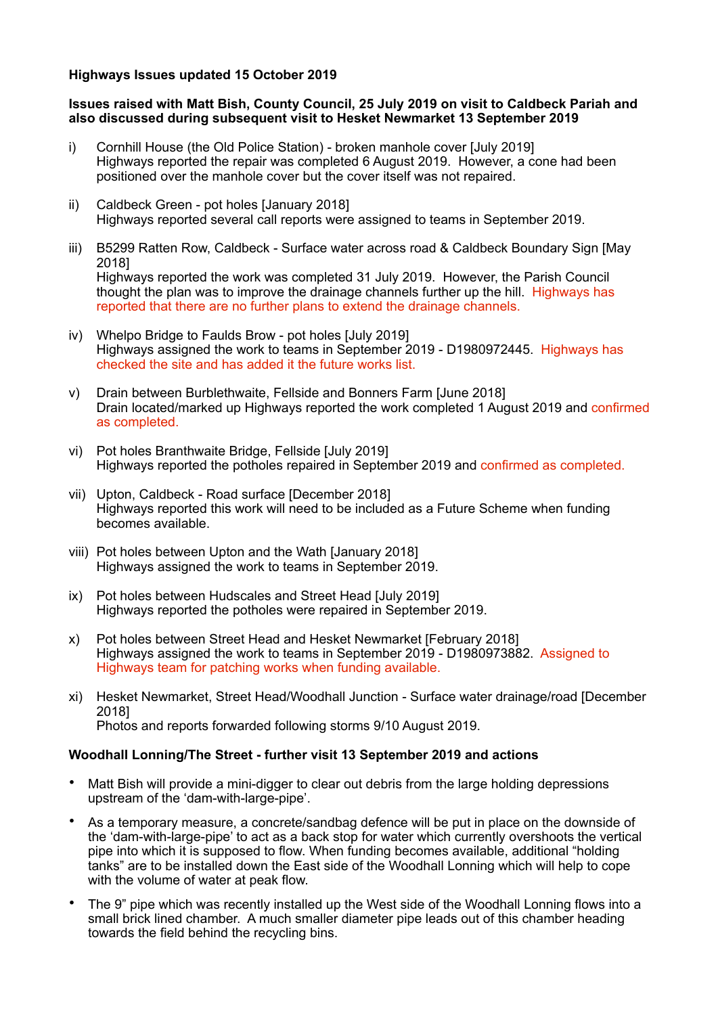### **Highways Issues updated 15 October 2019**

### **Issues raised with Matt Bish, County Council, 25 July 2019 on visit to Caldbeck Pariah and also discussed during subsequent visit to Hesket Newmarket 13 September 2019**

- i) Cornhill House (the Old Police Station) broken manhole cover [July 2019] Highways reported the repair was completed 6 August 2019. However, a cone had been positioned over the manhole cover but the cover itself was not repaired.
- ii) Caldbeck Green pot holes [January 2018] Highways reported several call reports were assigned to teams in September 2019.
- iii) B5299 Ratten Row, Caldbeck Surface water across road & Caldbeck Boundary Sign [May 2018] Highways reported the work was completed 31 July 2019. However, the Parish Council thought the plan was to improve the drainage channels further up the hill. Highways has reported that there are no further plans to extend the drainage channels.
- iv) Whelpo Bridge to Faulds Brow pot holes [July 2019] Highways assigned the work to teams in September 2019 - D1980972445. Highways has checked the site and has added it the future works list.
- v) Drain between Burblethwaite, Fellside and Bonners Farm [June 2018] Drain located/marked up Highways reported the work completed 1 August 2019 and confirmed as completed.
- vi) Pot holes Branthwaite Bridge, Fellside [July 2019] Highways reported the potholes repaired in September 2019 and confirmed as completed.
- vii) Upton, Caldbeck Road surface [December 2018] Highways reported this work will need to be included as a Future Scheme when funding becomes available.
- viii) Pot holes between Upton and the Wath [January 2018] Highways assigned the work to teams in September 2019.
- ix) Pot holes between Hudscales and Street Head [July 2019] Highways reported the potholes were repaired in September 2019.
- x) Pot holes between Street Head and Hesket Newmarket [February 2018] Highways assigned the work to teams in September 2019 - D1980973882. Assigned to Highways team for patching works when funding available.
- xi) Hesket Newmarket, Street Head/Woodhall Junction Surface water drainage/road [December 2018] Photos and reports forwarded following storms 9/10 August 2019.

# **Woodhall Lonning/The Street - further visit 13 September 2019 and actions**

- Matt Bish will provide a mini-digger to clear out debris from the large holding depressions upstream of the 'dam-with-large-pipe'.
- As a temporary measure, a concrete/sandbag defence will be put in place on the downside of the 'dam-with-large-pipe' to act as a back stop for water which currently overshoots the vertical pipe into which it is supposed to flow. When funding becomes available, additional "holding tanks" are to be installed down the East side of the Woodhall Lonning which will help to cope with the volume of water at peak flow.
- The 9" pipe which was recently installed up the West side of the Woodhall Lonning flows into a small brick lined chamber. A much smaller diameter pipe leads out of this chamber heading towards the field behind the recycling bins.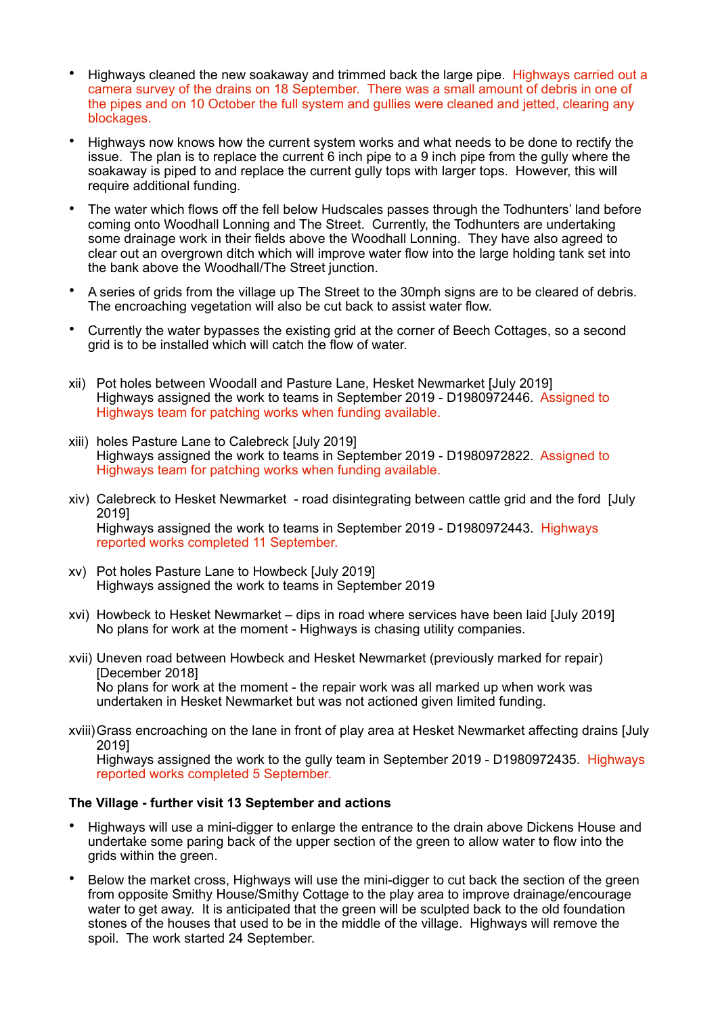- Highways cleaned the new soakaway and trimmed back the large pipe. Highways carried out a camera survey of the drains on 18 September. There was a small amount of debris in one of the pipes and on 10 October the full system and gullies were cleaned and jetted, clearing any blockages.
- Highways now knows how the current system works and what needs to be done to rectify the issue. The plan is to replace the current 6 inch pipe to a 9 inch pipe from the gully where the soakaway is piped to and replace the current gully tops with larger tops. However, this will require additional funding.
- The water which flows off the fell below Hudscales passes through the Todhunters' land before coming onto Woodhall Lonning and The Street. Currently, the Todhunters are undertaking some drainage work in their fields above the Woodhall Lonning. They have also agreed to clear out an overgrown ditch which will improve water flow into the large holding tank set into the bank above the Woodhall/The Street junction.
- A series of grids from the village up The Street to the 30mph signs are to be cleared of debris. The encroaching vegetation will also be cut back to assist water flow.
- Currently the water bypasses the existing grid at the corner of Beech Cottages, so a second grid is to be installed which will catch the flow of water.
- xii) Pot holes between Woodall and Pasture Lane, Hesket Newmarket [July 2019] Highways assigned the work to teams in September 2019 - D1980972446. Assigned to Highways team for patching works when funding available.
- xiii) holes Pasture Lane to Calebreck [July 2019] Highways assigned the work to teams in September 2019 - D1980972822. Assigned to Highways team for patching works when funding available.
- xiv) Calebreck to Hesket Newmarket road disintegrating between cattle grid and the ford [July 2019] Highways assigned the work to teams in September 2019 - D1980972443. Highways reported works completed 11 September.
- xv) Pot holes Pasture Lane to Howbeck [July 2019] Highways assigned the work to teams in September 2019
- xvi) Howbeck to Hesket Newmarket dips in road where services have been laid [July 2019] No plans for work at the moment - Highways is chasing utility companies.
- xvii) Uneven road between Howbeck and Hesket Newmarket (previously marked for repair) [December 2018] No plans for work at the moment - the repair work was all marked up when work was undertaken in Hesket Newmarket but was not actioned given limited funding.
- xviii)Grass encroaching on the lane in front of play area at Hesket Newmarket affecting drains [July 2019]

Highways assigned the work to the gully team in September 2019 - D1980972435. Highways reported works completed 5 September.

### **The Village - further visit 13 September and actions**

- Highways will use a mini-digger to enlarge the entrance to the drain above Dickens House and undertake some paring back of the upper section of the green to allow water to flow into the grids within the green.
- Below the market cross, Highways will use the mini-digger to cut back the section of the green from opposite Smithy House/Smithy Cottage to the play area to improve drainage/encourage water to get away. It is anticipated that the green will be sculpted back to the old foundation stones of the houses that used to be in the middle of the village. Highways will remove the spoil. The work started 24 September.